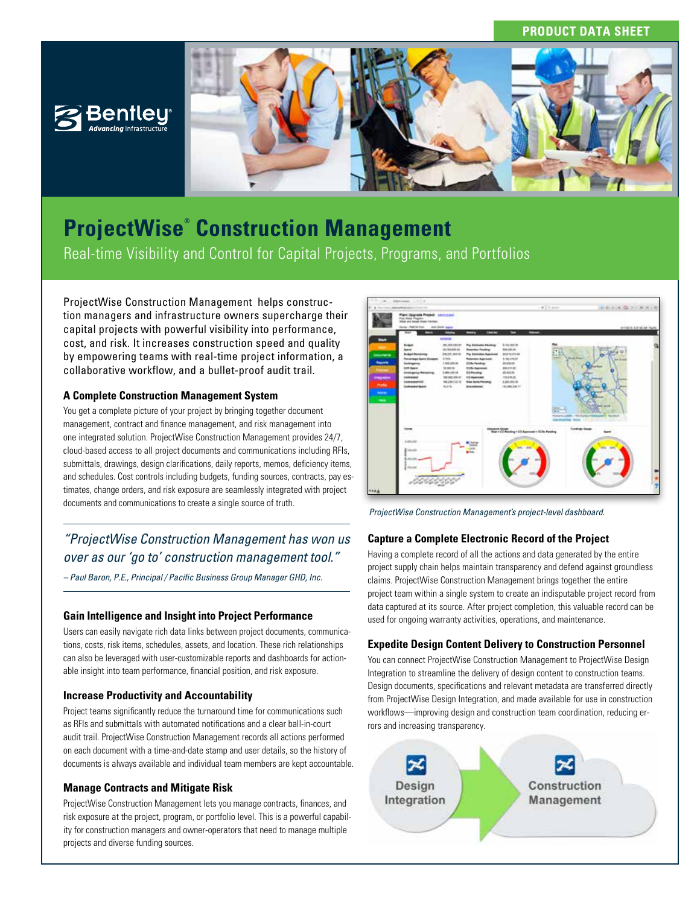## **PRODUCT DATA SHEET**





# **ProjectWise® Construction Management** Real-time Visibility and Control for Capital Projects, Programs, and Portfolios

ProjectWise Construction Management helps construction managers and infrastructure owners supercharge their capital projects with powerful visibility into performance, cost, and risk. It increases construction speed and quality by empowering teams with real-time project information, a collaborative workflow, and a bullet-proof audit trail.

## **A Complete Construction Management System**

You get a complete picture of your project by bringing together document management, contract and finance management, and risk management into one integrated solution. ProjectWise Construction Management provides 24/7, cloud-based access to all project documents and communications including RFIs, submittals, drawings, design clarifications, daily reports, memos, deficiency items, and schedules. Cost controls including budgets, funding sources, contracts, pay estimates, change orders, and risk exposure are seamlessly integrated with project documents and communications to create a single source of truth.

*"ProjectWise Construction Management has won us over as our 'go to' construction management tool."* 

*– Paul Baron, P.E., Principal / Pacific Business Group Manager GHD, Inc.*

## **Gain Intelligence and Insight into Project Performance**

Users can easily navigate rich data links between project documents, communications, costs, risk items, schedules, assets, and location. These rich relationships can also be leveraged with user-customizable reports and dashboards for actionable insight into team performance, financial position, and risk exposure.

## **Increase Productivity and Accountability**

Project teams significantly reduce the turnaround time for communications such as RFIs and submittals with automated notifications and a clear ball-in-court audit trail. ProjectWise Construction Management records all actions performed on each document with a time-and-date stamp and user details, so the history of documents is always available and individual team members are kept accountable.

## **Manage Contracts and Mitigate Risk**

ProjectWise Construction Management lets you manage contracts, finances, and risk exposure at the project, program, or portfolio level. This is a powerful capability for construction managers and owner-operators that need to manage multiple projects and diverse funding sources.



*ProjectWise Construction Management's project-level dashboard.*

## **Capture a Complete Electronic Record of the Project**

Having a complete record of all the actions and data generated by the entire project supply chain helps maintain transparency and defend against groundless claims. ProjectWise Construction Management brings together the entire project team within a single system to create an indisputable project record from data captured at its source. After project completion, this valuable record can be used for ongoing warranty activities, operations, and maintenance.

## **Expedite Design Content Delivery to Construction Personnel**

You can connect ProjectWise Construction Management to ProjectWise Design Integration to streamline the delivery of design content to construction teams. Design documents, specifications and relevant metadata are transferred directly from ProjectWise Design Integration, and made available for use in construction workflows—improving design and construction team coordination, reducing errors and increasing transparency.